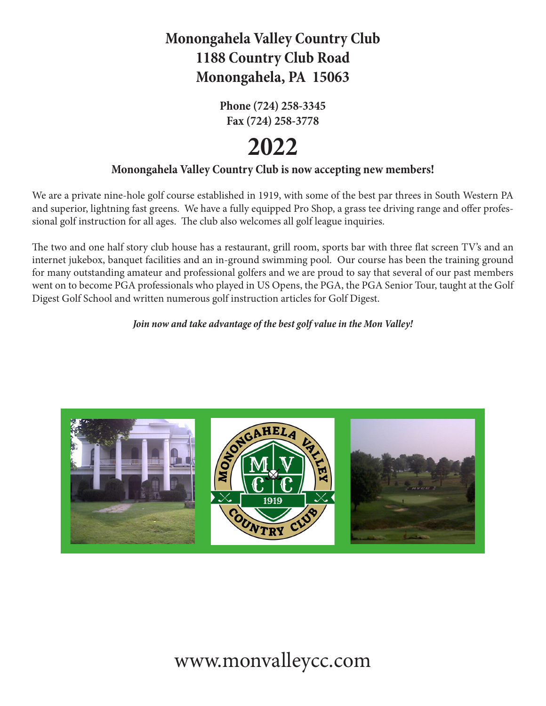## **Monongahela Valley Country Club 1188 Country Club Road Monongahela, PA 15063**

**Phone (724) 258-3345 Fax (724) 258-3778**

# **2022**

#### **Monongahela Valley Country Club is now accepting new members!**

We are a private nine-hole golf course established in 1919, with some of the best par threes in South Western PA and superior, lightning fast greens. We have a fully equipped Pro Shop, a grass tee driving range and offer professional golf instruction for all ages. The club also welcomes all golf league inquiries.

The two and one half story club house has a restaurant, grill room, sports bar with three flat screen TV's and an internet jukebox, banquet facilities and an in-ground swimming pool. Our course has been the training ground for many outstanding amateur and professional golfers and we are proud to say that several of our past members went on to become PGA professionals who played in US Opens, the PGA, the PGA Senior Tour, taught at the Golf Digest Golf School and written numerous golf instruction articles for Golf Digest.

#### *Join now and take advantage of the best golf value in the Mon Valley!*



## www.monvalleycc.com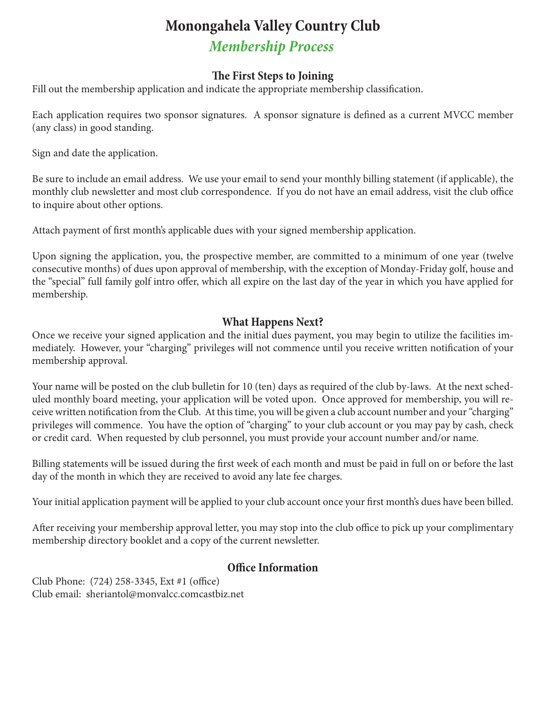*Membership Process*

#### **The First Steps to Joining**

Fill out the membership application and indicate the appropriate membership classification.

Each application requires two sponsor signatures. A sponsor signature is defined as a current MVCC member (any class) in good standing.

Sign and date the application.

Be sure to include an email address. We use your email to send your monthly billing statement (if applicable), the monthly club newsletter and most club correspondence. If you do not have an email address, visit the club office to inquire about other options.

Attach payment of first month's applicable dues with your signed membership application.

Upon signing the application, you, the prospective member, are committed to a minimum of one year (twelve consecutive months) of dues upon approval of membership, with the exception of Monday-Friday golf, house and the "special" full family golf intro offer, which all expire on the last day of the year in which you have applied for membership.

#### **What Happens Next?**

Once we receive your signed application and the initial dues payment, you may begin to utilize the facilities immediately. However, your "charging" privileges will not commence until you receive written notification of your membership approval.

Your name will be posted on the club bulletin for 10 (ten) days as required of the club by-laws. At the next scheduled monthly board meeting, your application will be voted upon. Once approved for membership, you will receive written notification from the Club. At this time, you will be given a club account number and your "charging" privileges will commence. You have the option of "charging" to your club account or you may pay by cash, check or credit card. When requested by club personnel, you must provide your account number and/or name.

Billing statements will be issued during the first week of each month and must be paid in full on or before the last day of the month in which they are received to avoid any late fee charges.

Your initial application payment will be applied to your club account once your first month's dues have been billed.

After receiving your membership approval letter, you may stop into the club office to pick up your complimentary membership directory booklet and a copy of the current newsletter.

#### **Office Information**

Club Phone: (724) 258-3345, Ext #1 (office) Club email: sheriantol@monvalcc.comcastbiz.net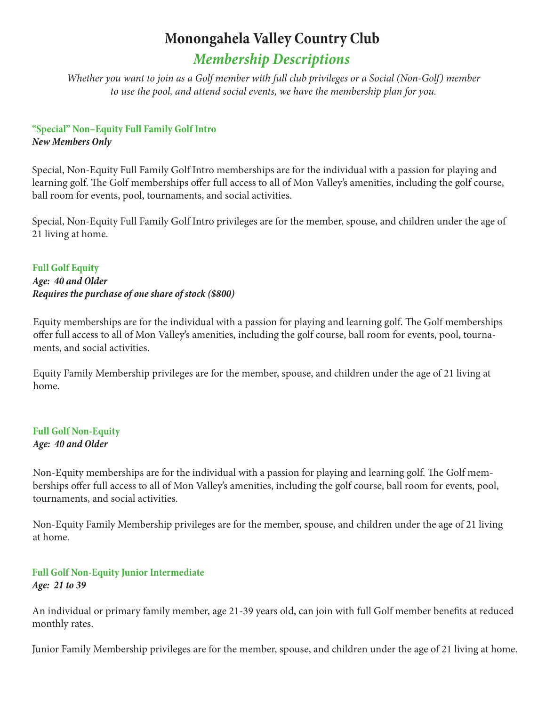### *Membership Descriptions*

*Whether you want to join as a Golf member with full club privileges or a Social (Non-Golf) member to use the pool, and attend social events, we have the membership plan for you.* 

#### **"Special" Non–Equity Full Family Golf Intro** *New Members Only*

Special, Non-Equity Full Family Golf Intro memberships are for the individual with a passion for playing and learning golf. The Golf memberships offer full access to all of Mon Valley's amenities, including the golf course, ball room for events, pool, tournaments, and social activities.

Special, Non-Equity Full Family Golf Intro privileges are for the member, spouse, and children under the age of 21 living at home.

**Full Golf Equity** *Age: 40 and Older Requires the purchase of one share of stock (\$800)*

Equity memberships are for the individual with a passion for playing and learning golf. The Golf memberships offer full access to all of Mon Valley's amenities, including the golf course, ball room for events, pool, tournaments, and social activities.

Equity Family Membership privileges are for the member, spouse, and children under the age of 21 living at home.

#### **Full Golf Non-Equity** *Age: 40 and Older*

Non-Equity memberships are for the individual with a passion for playing and learning golf. The Golf memberships offer full access to all of Mon Valley's amenities, including the golf course, ball room for events, pool, tournaments, and social activities.

Non-Equity Family Membership privileges are for the member, spouse, and children under the age of 21 living at home.

#### **Full Golf Non-Equity Junior Intermediate** *Age: 21 to 39*

An individual or primary family member, age 21-39 years old, can join with full Golf member benefits at reduced monthly rates.

Junior Family Membership privileges are for the member, spouse, and children under the age of 21 living at home.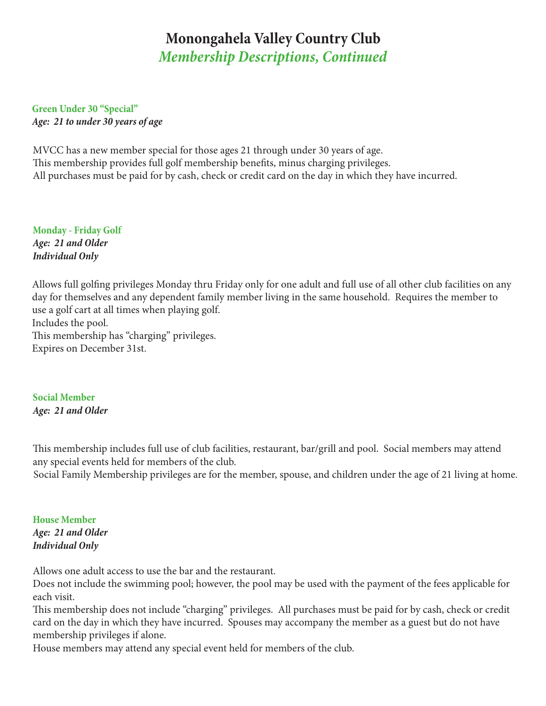### *Membership Descriptions, Continued* **Monongahela Valley Country Club**

**Green Under 30 "Special"** *Age: 21 to under 30 years of age*

MVCC has a new member special for those ages 21 through under 30 years of age. This membership provides full golf membership benefits, minus charging privileges. All purchases must be paid for by cash, check or credit card on the day in which they have incurred.

**Monday - Friday Golf** *Age: 21 and Older Individual Only*

Allows full golfing privileges Monday thru Friday only for one adult and full use of all other club facilities on any day for themselves and any dependent family member living in the same household. Requires the member to use a golf cart at all times when playing golf. Includes the pool. This membership has "charging" privileges. Expires on December 31st.

**Social Member** *Age: 21 and Older* 

This membership includes full use of club facilities, restaurant, bar/grill and pool. Social members may attend any special events held for members of the club.

Social Family Membership privileges are for the member, spouse, and children under the age of 21 living at home.

**House Member** *Age: 21 and Older Individual Only*

Allows one adult access to use the bar and the restaurant.

Does not include the swimming pool; however, the pool may be used with the payment of the fees applicable for each visit.

This membership does not include "charging" privileges. All purchases must be paid for by cash, check or credit card on the day in which they have incurred. Spouses may accompany the member as a guest but do not have membership privileges if alone.

House members may attend any special event held for members of the club.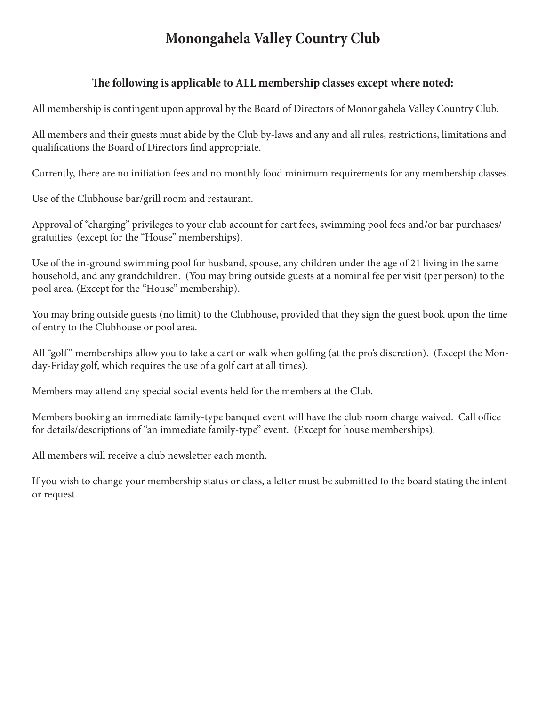#### **The following is applicable to ALL membership classes except where noted:**

All membership is contingent upon approval by the Board of Directors of Monongahela Valley Country Club.

All members and their guests must abide by the Club by-laws and any and all rules, restrictions, limitations and qualifications the Board of Directors find appropriate.

Currently, there are no initiation fees and no monthly food minimum requirements for any membership classes.

Use of the Clubhouse bar/grill room and restaurant.

Approval of "charging" privileges to your club account for cart fees, swimming pool fees and/or bar purchases/ gratuities (except for the "House" memberships).

Use of the in-ground swimming pool for husband, spouse, any children under the age of 21 living in the same household, and any grandchildren. (You may bring outside guests at a nominal fee per visit (per person) to the pool area. (Except for the "House" membership).

You may bring outside guests (no limit) to the Clubhouse, provided that they sign the guest book upon the time of entry to the Clubhouse or pool area.

All "golf" memberships allow you to take a cart or walk when golfing (at the pro's discretion). (Except the Monday-Friday golf, which requires the use of a golf cart at all times).

Members may attend any special social events held for the members at the Club.

Members booking an immediate family-type banquet event will have the club room charge waived. Call office for details/descriptions of "an immediate family-type" event. (Except for house memberships).

All members will receive a club newsletter each month.

If you wish to change your membership status or class, a letter must be submitted to the board stating the intent or request.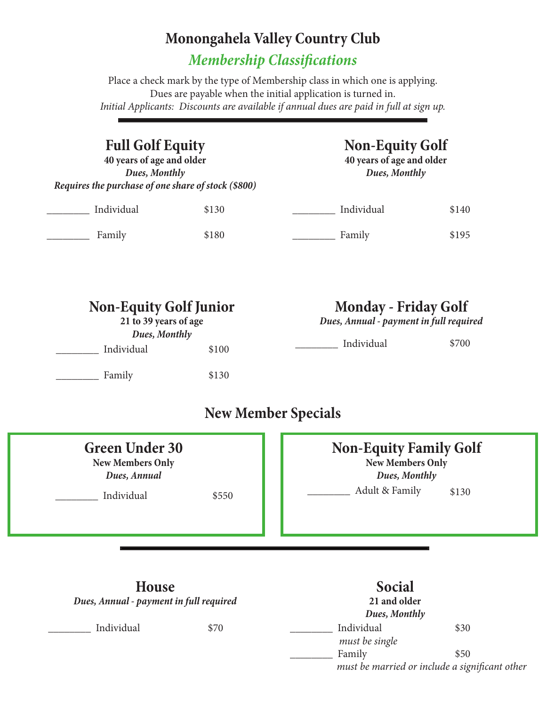*Membership Classifications*

Place a check mark by the type of Membership class in which one is applying. Dues are payable when the initial application is turned in. *Initial Applicants: Discounts are available if annual dues are paid in full at sign up.*

## **Full Golf Equity**

**40 years of age and older** *Dues, Monthly Requires the purchase of one share of stock (\$800)*

## **Non-Equity Golf**

**40 years of age and older** *Dues, Monthly*

| Individual | \$130 | Individual | \$140 |
|------------|-------|------------|-------|
| Family     | \$180 | Family     | \$195 |

| <b>Non-Equity Golf Junior</b><br>21 to 39 years of age<br>Dues, Monthly |       | <b>Monday - Friday Golf</b><br>Dues, Annual - payment in full required |       |  |
|-------------------------------------------------------------------------|-------|------------------------------------------------------------------------|-------|--|
| Individual                                                              | \$100 | Individual                                                             | \$700 |  |
| Family                                                                  | \$130 |                                                                        |       |  |
|                                                                         |       |                                                                        |       |  |

### **New Member Specials**

| <b>Green Under 30</b><br><b>New Members Only</b><br>Dues, Annual<br>Individual | \$550 | <b>Non-Equity Family Golf</b><br><b>New Members Only</b><br>Dues, Monthly<br>Adult & Family<br>\$130 |  |
|--------------------------------------------------------------------------------|-------|------------------------------------------------------------------------------------------------------|--|
| <b>House</b><br>Dues, Annual - payment in full required                        |       | <b>Social</b><br>21 and older<br>Dues, Monthly                                                       |  |
| Individual                                                                     | \$70  | Individual<br>\$30                                                                                   |  |